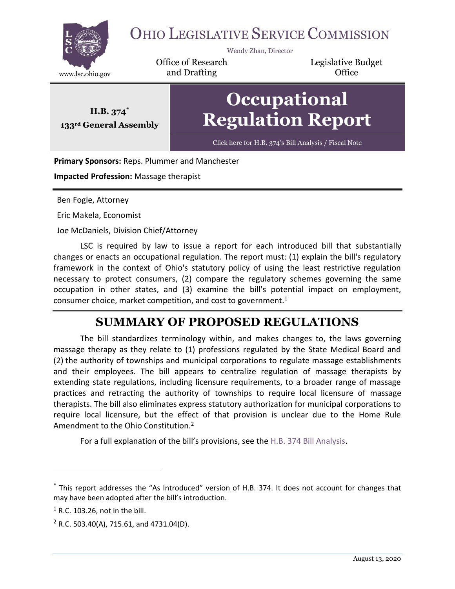

# OHIO LEGISLATIVE SERVICE COMMISSION

Wendy Zhan, Director

Office of Research www.lsc.ohio.gov **and Drafting Construction Office** 

Legislative Budget

**H.B. 374\* 133rd General Assembly**

# **Occupational Regulation Report**

Click here for H.B. [374's Bill Analysis / Fiscal Note](https://www.legislature.ohio.gov/legislation/legislation-documents?id=GA133-HB-374)

#### **Primary Sponsors:** Reps. Plummer and Manchester

**Impacted Profession:** Massage therapist

Ben Fogle, Attorney

Eric Makela, Economist

Joe McDaniels, Division Chief/Attorney

LSC is required by law to issue a report for each introduced bill that substantially changes or enacts an occupational regulation. The report must: (1) explain the bill's regulatory framework in the context of Ohio's statutory policy of using the least restrictive regulation necessary to protect consumers, (2) compare the regulatory schemes governing the same occupation in other states, and (3) examine the bill's potential impact on employment, consumer choice, market competition, and cost to government. $1$ 

## **SUMMARY OF PROPOSED REGULATIONS**

The bill standardizes terminology within, and makes changes to, the laws governing massage therapy as they relate to (1) professions regulated by the State Medical Board and (2) the authority of townships and municipal corporations to regulate massage establishments and their employees. The bill appears to centralize regulation of massage therapists by extending state regulations, including licensure requirements, to a broader range of massage practices and retracting the authority of townships to require local licensure of massage therapists. The bill also eliminates express statutory authorization for municipal corporations to require local licensure, but the effect of that provision is unclear due to the Home Rule Amendment to the Ohio Constitution.<sup>2</sup>

For a full explanation of the bill's provisions, see the H.B. 374 [Bill Analysis.](https://www.legislature.ohio.gov/download?key=12983&format=pdf)

<sup>\*</sup> This report addresses the "As Introduced" version of H.B. 374. It does not account for changes that may have been adopted after the bill's introduction.

 $<sup>1</sup>$  R.C. 103.26, not in the bill.</sup>

 $2$  R.C. 503.40(A), 715.61, and 4731.04(D).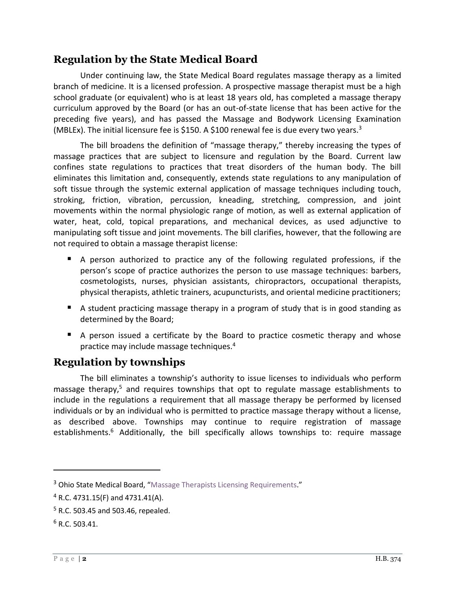#### **Regulation by the State Medical Board**

Under continuing law, the State Medical Board regulates massage therapy as a limited branch of medicine. It is a licensed profession. A prospective massage therapist must be a high school graduate (or equivalent) who is at least 18 years old, has completed a massage therapy curriculum approved by the Board (or has an out-of-state license that has been active for the preceding five years), and has passed the Massage and Bodywork Licensing Examination (MBLEx). The initial licensure fee is \$150. A \$100 renewal fee is due every two years.<sup>3</sup>

The bill broadens the definition of "massage therapy," thereby increasing the types of massage practices that are subject to licensure and regulation by the Board. Current law confines state regulations to practices that treat disorders of the human body. The bill eliminates this limitation and, consequently, extends state regulations to any manipulation of soft tissue through the systemic external application of massage techniques including touch, stroking, friction, vibration, percussion, kneading, stretching, compression, and joint movements within the normal physiologic range of motion, as well as external application of water, heat, cold, topical preparations, and mechanical devices, as used adjunctive to manipulating soft tissue and joint movements. The bill clarifies, however, that the following are not required to obtain a massage therapist license:

- A person authorized to practice any of the following regulated professions, if the person's scope of practice authorizes the person to use massage techniques: barbers, cosmetologists, nurses, physician assistants, chiropractors, occupational therapists, physical therapists, athletic trainers, acupuncturists, and oriental medicine practitioners;
- A student practicing massage therapy in a program of study that is in good standing as determined by the Board;
- A person issued a certificate by the Board to practice cosmetic therapy and whose practice may include massage techniques.<sup>4</sup>

#### **Regulation by townships**

The bill eliminates a township's authority to issue licenses to individuals who perform massage therapy,<sup>5</sup> and requires townships that opt to regulate massage establishments to include in the regulations a requirement that all massage therapy be performed by licensed individuals or by an individual who is permitted to practice massage therapy without a license, as described above. Townships may continue to require registration of massage establishments.<sup>6</sup> Additionally, the bill specifically allows townships to: require massage

<sup>&</sup>lt;sup>3</sup> Ohio State Medical Board, "[Massage Therapists Licensing Requirements](https://med.ohio.gov/Portals/0/Applications/Massage%20Therapist/License%20Reqs%20for%20MTs.pdf)."

 $4$  R.C. 4731.15(F) and 4731.41(A).

 $5$  R.C. 503.45 and 503.46, repealed.

 $6$  R.C. 503.41.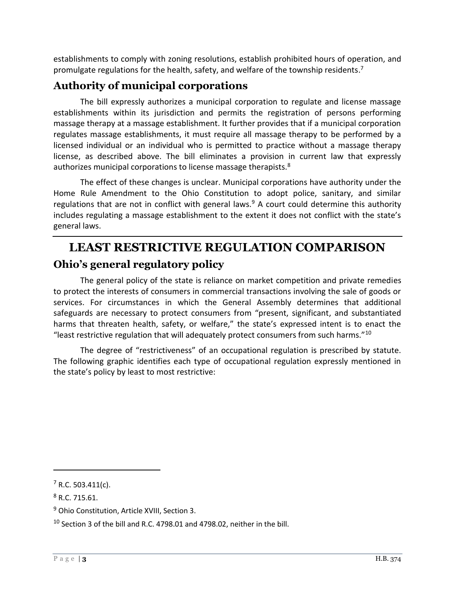establishments to comply with zoning resolutions, establish prohibited hours of operation, and promulgate regulations for the health, safety, and welfare of the township residents.<sup>7</sup>

#### **Authority of municipal corporations**

The bill expressly authorizes a municipal corporation to regulate and license massage establishments within its jurisdiction and permits the registration of persons performing massage therapy at a massage establishment. It further provides that if a municipal corporation regulates massage establishments, it must require all massage therapy to be performed by a licensed individual or an individual who is permitted to practice without a massage therapy license, as described above. The bill eliminates a provision in current law that expressly authorizes municipal corporations to license massage therapists.<sup>8</sup>

The effect of these changes is unclear. Municipal corporations have authority under the Home Rule Amendment to the Ohio Constitution to adopt police, sanitary, and similar regulations that are not in conflict with general laws.<sup>9</sup> A court could determine this authority includes regulating a massage establishment to the extent it does not conflict with the state's general laws.

# **LEAST RESTRICTIVE REGULATION COMPARISON Ohio's general regulatory policy**

The general policy of the state is reliance on market competition and private remedies to protect the interests of consumers in commercial transactions involving the sale of goods or services. For circumstances in which the General Assembly determines that additional safeguards are necessary to protect consumers from "present, significant, and substantiated harms that threaten health, safety, or welfare," the state's expressed intent is to enact the "least restrictive regulation that will adequately protect consumers from such harms."<sup>10</sup>

The degree of "restrictiveness" of an occupational regulation is prescribed by statute. The following graphic identifies each type of occupational regulation expressly mentioned in the state's policy by least to most restrictive:

 $7$  R.C. 503.411(c).

<sup>8</sup> R.C. 715.61.

<sup>&</sup>lt;sup>9</sup> Ohio Constitution, Article XVIII, Section 3.

<sup>10</sup> Section 3 of the bill and R.C. 4798.01 and 4798.02, neither in the bill.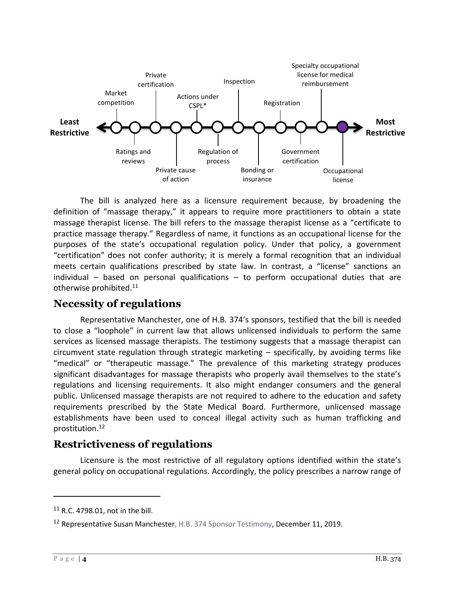

The bill is analyzed here as a licensure requirement because, by broadening the definition of "massage therapy," it appears to require more practitioners to obtain a state massage therapist license. The bill refers to the massage therapist license as a "certificate to practice massage therapy." Regardless of name, it functions as an occupational license for the purposes of the state's occupational regulation policy. Under that policy, a government "certification" does not confer authority; it is merely a formal recognition that an individual meets certain qualifications prescribed by state law. In contrast, a "license" sanctions an individual – based on personal qualifications – to perform occupational duties that are otherwise prohibited.<sup>11</sup>

#### **Necessity of regulations**

Representative Manchester, one of H.B. 374's sponsors, testified that the bill is needed to close a "loophole" in current law that allows unlicensed individuals to perform the same services as licensed massage therapists. The testimony suggests that a massage therapist can circumvent state regulation through strategic marketing – specifically, by avoiding terms like "medical" or "therapeutic massage." The prevalence of this marketing strategy produces significant disadvantages for massage therapists who properly avail themselves to the state's regulations and licensing requirements. It also might endanger consumers and the general public. Unlicensed massage therapists are not required to adhere to the education and safety requirements prescribed by the State Medical Board. Furthermore, unlicensed massage establishments have been used to conceal illegal activity such as human trafficking and prostitution.<sup>12</sup>

#### **Restrictiveness of regulations**

Licensure is the most restrictive of all regulatory options identified within the state's general policy on occupational regulations. Accordingly, the policy prescribes a narrow range of

<sup>11</sup> R.C. 4798.01, not in the bill.

<sup>&</sup>lt;sup>12</sup> Representative Susan Mancheste[r, H.B. 374 Sponsor Testimony,](https://www.legislature.ohio.gov/legislation/legislation-committee-documents?id=GA133-HB-374) December 11, 2019.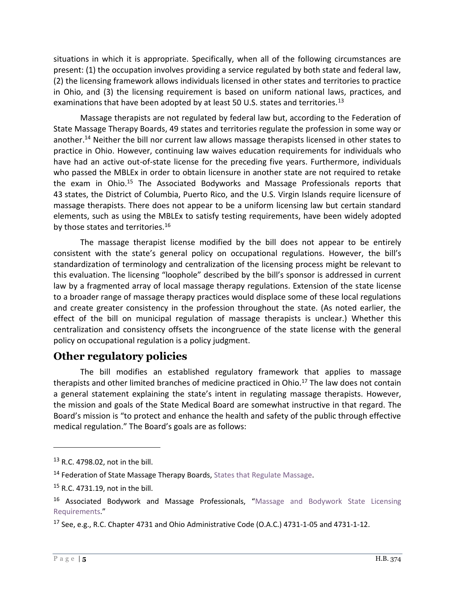situations in which it is appropriate. Specifically, when all of the following circumstances are present: (1) the occupation involves providing a service regulated by both state and federal law, (2) the licensing framework allows individuals licensed in other states and territories to practice in Ohio, and (3) the licensing requirement is based on uniform national laws, practices, and examinations that have been adopted by at least 50 U.S. states and territories.<sup>13</sup>

Massage therapists are not regulated by federal law but, according to the Federation of State Massage Therapy Boards, 49 states and territories regulate the profession in some way or another.<sup>14</sup> Neither the bill nor current law allows massage therapists licensed in other states to practice in Ohio. However, continuing law waives education requirements for individuals who have had an active out-of-state license for the preceding five years. Furthermore, individuals who passed the MBLEx in order to obtain licensure in another state are not required to retake the exam in Ohio.<sup>15</sup> The Associated Bodyworks and Massage Professionals reports that 43 states, the District of Columbia, Puerto Rico, and the U.S. Virgin Islands require licensure of massage therapists. There does not appear to be a uniform licensing law but certain standard elements, such as using the MBLEx to satisfy testing requirements, have been widely adopted by those states and territories.<sup>16</sup>

The massage therapist license modified by the bill does not appear to be entirely consistent with the state's general policy on occupational regulations. However, the bill's standardization of terminology and centralization of the licensing process might be relevant to this evaluation. The licensing "loophole" described by the bill's sponsor is addressed in current law by a fragmented array of local massage therapy regulations. Extension of the state license to a broader range of massage therapy practices would displace some of these local regulations and create greater consistency in the profession throughout the state. (As noted earlier, the effect of the bill on municipal regulation of massage therapists is unclear.) Whether this centralization and consistency offsets the incongruence of the state license with the general policy on occupational regulation is a policy judgment.

#### **Other regulatory policies**

The bill modifies an established regulatory framework that applies to massage therapists and other limited branches of medicine practiced in Ohio.<sup>17</sup> The law does not contain a general statement explaining the state's intent in regulating massage therapists. However, the mission and goals of the State Medical Board are somewhat instructive in that regard. The Board's mission is "to protect and enhance the health and safety of the public through effective medical regulation." The Board's goals are as follows:

<sup>13</sup> R.C. 4798.02, not in the bill.

<sup>&</sup>lt;sup>14</sup> Federation of State Massage Therapy Boards, [States that Regulate Massage.](https://www.fsmtb.org/consumer-information/regulated-states/)

<sup>15</sup> R.C. 4731.19, not in the bill.

<sup>&</sup>lt;sup>16</sup> Associated Bodywork and Massage Professionals, "Massage and Bodywork State Licensing [Requirements](https://www.abmp.com/practitioners/state-requirements)."

<sup>17</sup> See, e.g., R.C. Chapter 4731 and Ohio Administrative Code (O.A.C.) 4731-1-05 and 4731-1-12.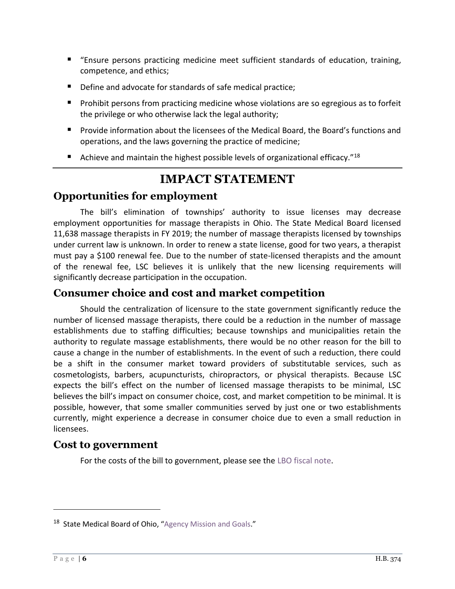- "Ensure persons practicing medicine meet sufficient standards of education, training, competence, and ethics;
- Define and advocate for standards of safe medical practice;
- Prohibit persons from practicing medicine whose violations are so egregious as to forfeit the privilege or who otherwise lack the legal authority;
- **Provide information about the licensees of the Medical Board, the Board's functions and** operations, and the laws governing the practice of medicine;
- Achieve and maintain the highest possible levels of organizational efficacy." $^{18}$

### **IMPACT STATEMENT**

#### **Opportunities for employment**

The bill's elimination of townships' authority to issue licenses may decrease employment opportunities for massage therapists in Ohio. The State Medical Board licensed 11,638 massage therapists in FY 2019; the number of massage therapists licensed by townships under current law is unknown. In order to renew a state license, good for two years, a therapist must pay a \$100 renewal fee. Due to the number of state-licensed therapists and the amount of the renewal fee, LSC believes it is unlikely that the new licensing requirements will significantly decrease participation in the occupation.

#### **Consumer choice and cost and market competition**

Should the centralization of licensure to the state government significantly reduce the number of licensed massage therapists, there could be a reduction in the number of massage establishments due to staffing difficulties; because townships and municipalities retain the authority to regulate massage establishments, there would be no other reason for the bill to cause a change in the number of establishments. In the event of such a reduction, there could be a shift in the consumer market toward providers of substitutable services, such as cosmetologists, barbers, acupuncturists, chiropractors, or physical therapists. Because LSC expects the bill's effect on the number of licensed massage therapists to be minimal, LSC believes the bill's impact on consumer choice, cost, and market competition to be minimal. It is possible, however, that some smaller communities served by just one or two establishments currently, might experience a decrease in consumer choice due to even a small reduction in licensees.

#### **Cost to government**

For the costs of the bill to government, please see the [LBO fiscal note.](https://www.legislature.ohio.gov/download?key=13420&format=pdf)

<sup>&</sup>lt;sup>18</sup> State Medical Board of Ohio, "[Agency Mission and Goals](https://med.ohio.gov/The-Board/Agency-Mission-and-Goals)."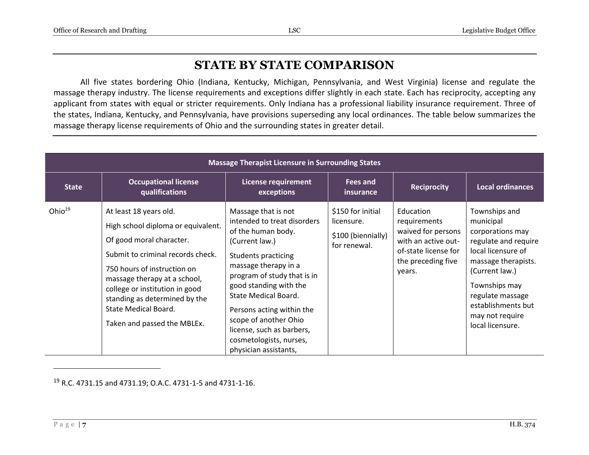## **STATE BY STATE COMPARISON**

All five states bordering Ohio (Indiana, Kentucky, Michigan, Pennsylvania, and West Virginia) license and regulate the massage therapy industry. The license requirements and exceptions differ slightly in each state. Each has reciprocity, accepting any applicant from states with equal or stricter requirements. Only Indiana has a professional liability insurance requirement. Three of the states, Indiana, Kentucky, and Pennsylvania, have provisions superseding any local ordinances. The table below summarizes the massage therapy license requirements of Ohio and the surrounding states in greater detail.

| <b>Massage Therapist Licensure in Surrounding States</b> |                                                                                                                                                                                                                                                                                                                        |                                                                                                                                                                                                                                                                                                                                                                          |                                                                       |                                                                                                                                |                                                                                                                                                                                                                                         |  |  |
|----------------------------------------------------------|------------------------------------------------------------------------------------------------------------------------------------------------------------------------------------------------------------------------------------------------------------------------------------------------------------------------|--------------------------------------------------------------------------------------------------------------------------------------------------------------------------------------------------------------------------------------------------------------------------------------------------------------------------------------------------------------------------|-----------------------------------------------------------------------|--------------------------------------------------------------------------------------------------------------------------------|-----------------------------------------------------------------------------------------------------------------------------------------------------------------------------------------------------------------------------------------|--|--|
| <b>State</b>                                             | <b>Occupational license</b><br>qualifications                                                                                                                                                                                                                                                                          | <b>License requirement</b><br>exceptions                                                                                                                                                                                                                                                                                                                                 | Fees and<br>insurance                                                 | <b>Reciprocity</b>                                                                                                             | <b>Local ordinances</b>                                                                                                                                                                                                                 |  |  |
| Ohio $^{19}$                                             | At least 18 years old.<br>High school diploma or equivalent.<br>Of good moral character.<br>Submit to criminal records check.<br>750 hours of instruction on<br>massage therapy at a school,<br>college or institution in good<br>standing as determined by the<br>State Medical Board.<br>Taken and passed the MBLEx. | Massage that is not<br>intended to treat disorders<br>of the human body.<br>(Current law.)<br><b>Students practicing</b><br>massage therapy in a<br>program of study that is in<br>good standing with the<br>State Medical Board.<br>Persons acting within the<br>scope of another Ohio<br>license, such as barbers,<br>cosmetologists, nurses,<br>physician assistants, | \$150 for initial<br>licensure.<br>\$100 (biennially)<br>for renewal. | Education<br>requirements<br>waived for persons<br>with an active out-<br>of-state license for<br>the preceding five<br>years. | Townships and<br>municipal<br>corporations may<br>regulate and require<br>local licensure of<br>massage therapists.<br>(Current law.)<br>Townships may<br>regulate massage<br>establishments but<br>may not require<br>local licensure. |  |  |

<sup>19</sup> R.C. 4731.15 and 4731.19; O.A.C. 4731-1-5 and 4731-1-16.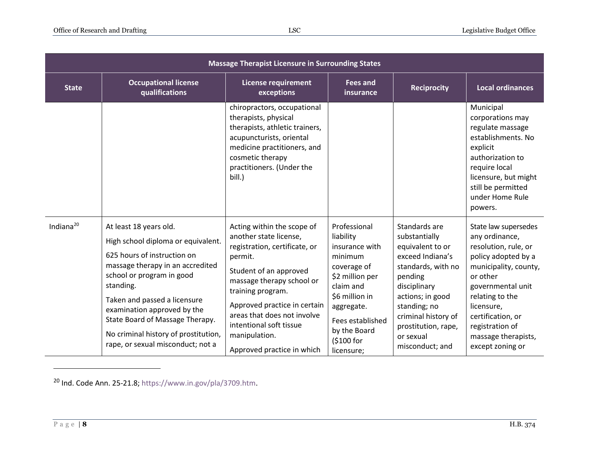| <b>Massage Therapist Licensure in Surrounding States</b> |                                                                                                                                                                                                                                                                                                                                                          |                                                                                                                                                                                                                                                                                                                       |                                                                                                                                                                                                       |                                                                                                                                                                                                                                           |                                                                                                                                                                                                                                                                     |  |
|----------------------------------------------------------|----------------------------------------------------------------------------------------------------------------------------------------------------------------------------------------------------------------------------------------------------------------------------------------------------------------------------------------------------------|-----------------------------------------------------------------------------------------------------------------------------------------------------------------------------------------------------------------------------------------------------------------------------------------------------------------------|-------------------------------------------------------------------------------------------------------------------------------------------------------------------------------------------------------|-------------------------------------------------------------------------------------------------------------------------------------------------------------------------------------------------------------------------------------------|---------------------------------------------------------------------------------------------------------------------------------------------------------------------------------------------------------------------------------------------------------------------|--|
| <b>State</b>                                             | <b>Occupational license</b><br>qualifications                                                                                                                                                                                                                                                                                                            | <b>License requirement</b><br>exceptions                                                                                                                                                                                                                                                                              | <b>Fees and</b><br>insurance                                                                                                                                                                          | <b>Reciprocity</b>                                                                                                                                                                                                                        | <b>Local ordinances</b>                                                                                                                                                                                                                                             |  |
|                                                          |                                                                                                                                                                                                                                                                                                                                                          | chiropractors, occupational<br>therapists, physical<br>therapists, athletic trainers,<br>acupuncturists, oriental<br>medicine practitioners, and<br>cosmetic therapy<br>practitioners. (Under the<br>bill.)                                                                                                           |                                                                                                                                                                                                       |                                                                                                                                                                                                                                           | Municipal<br>corporations may<br>regulate massage<br>establishments. No<br>explicit<br>authorization to<br>require local<br>licensure, but might<br>still be permitted<br>under Home Rule<br>powers.                                                                |  |
| Indiana $^{20}$                                          | At least 18 years old.<br>High school diploma or equivalent.<br>625 hours of instruction on<br>massage therapy in an accredited<br>school or program in good<br>standing.<br>Taken and passed a licensure<br>examination approved by the<br>State Board of Massage Therapy.<br>No criminal history of prostitution,<br>rape, or sexual misconduct; not a | Acting within the scope of<br>another state license,<br>registration, certificate, or<br>permit.<br>Student of an approved<br>massage therapy school or<br>training program.<br>Approved practice in certain<br>areas that does not involve<br>intentional soft tissue<br>manipulation.<br>Approved practice in which | Professional<br>liability<br>insurance with<br>minimum<br>coverage of<br>\$2 million per<br>claim and<br>\$6 million in<br>aggregate.<br>Fees established<br>by the Board<br>(\$100 for<br>licensure; | Standards are<br>substantially<br>equivalent to or<br>exceed Indiana's<br>standards, with no<br>pending<br>disciplinary<br>actions; in good<br>standing; no<br>criminal history of<br>prostitution, rape,<br>or sexual<br>misconduct; and | State law supersedes<br>any ordinance,<br>resolution, rule, or<br>policy adopted by a<br>municipality, county,<br>or other<br>governmental unit<br>relating to the<br>licensure,<br>certification, or<br>registration of<br>massage therapists,<br>except zoning or |  |

<sup>20</sup> Ind. Code Ann. 25-21.8; [https://www.in.gov/pla/3709.htm.](https://www.in.gov/pla/3709.htm)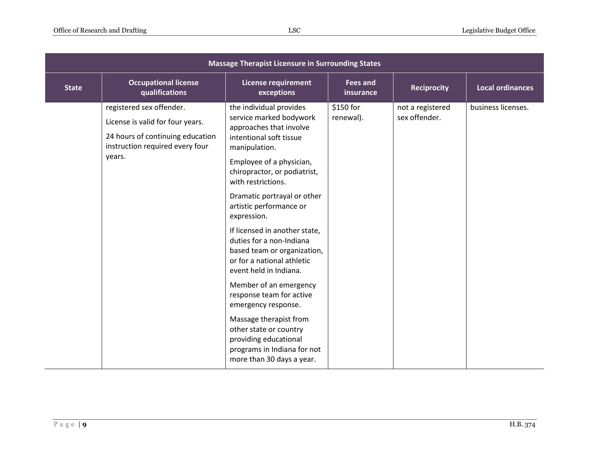| <b>Massage Therapist Licensure in Surrounding States</b> |                                                                                                                                               |                                                                                                                                                                                                                                                                                                                                                                                                                                                                                                                                                                                                                                                                |                              |                                   |                         |  |
|----------------------------------------------------------|-----------------------------------------------------------------------------------------------------------------------------------------------|----------------------------------------------------------------------------------------------------------------------------------------------------------------------------------------------------------------------------------------------------------------------------------------------------------------------------------------------------------------------------------------------------------------------------------------------------------------------------------------------------------------------------------------------------------------------------------------------------------------------------------------------------------------|------------------------------|-----------------------------------|-------------------------|--|
| <b>State</b>                                             | <b>Occupational license</b><br>qualifications                                                                                                 | <b>License requirement</b><br>exceptions                                                                                                                                                                                                                                                                                                                                                                                                                                                                                                                                                                                                                       | <b>Fees and</b><br>insurance | <b>Reciprocity</b>                | <b>Local ordinances</b> |  |
|                                                          | registered sex offender.<br>License is valid for four years.<br>24 hours of continuing education<br>instruction required every four<br>years. | the individual provides<br>service marked bodywork<br>approaches that involve<br>intentional soft tissue<br>manipulation.<br>Employee of a physician,<br>chiropractor, or podiatrist,<br>with restrictions.<br>Dramatic portrayal or other<br>artistic performance or<br>expression.<br>If licensed in another state,<br>duties for a non-Indiana<br>based team or organization,<br>or for a national athletic<br>event held in Indiana.<br>Member of an emergency<br>response team for active<br>emergency response.<br>Massage therapist from<br>other state or country<br>providing educational<br>programs in Indiana for not<br>more than 30 days a year. | \$150 for<br>renewal).       | not a registered<br>sex offender. | business licenses.      |  |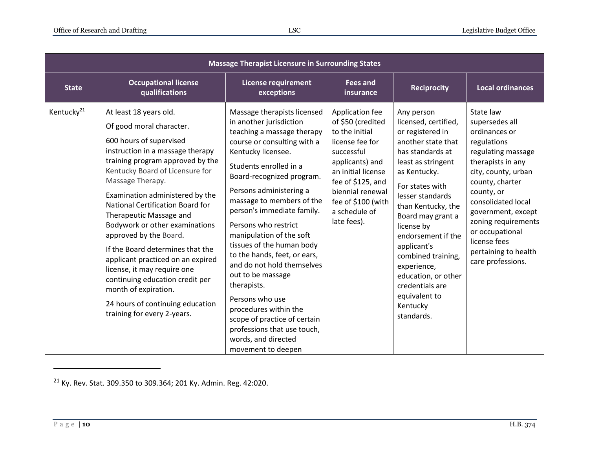| <b>Massage Therapist Licensure in Surrounding States</b> |                                                                                                                                                                                                                                                                                                                                                                                                                                                                                                                                                                                                                  |                                                                                                                                                                                                                                                                                                                                                                                                                                                                                                                                                                                                                                   |                                                                                                                                                                                                                                 |                                                                                                                                                                                                                                                                                                                                                                                                       |                                                                                                                                                                                                                                                                                                                   |  |
|----------------------------------------------------------|------------------------------------------------------------------------------------------------------------------------------------------------------------------------------------------------------------------------------------------------------------------------------------------------------------------------------------------------------------------------------------------------------------------------------------------------------------------------------------------------------------------------------------------------------------------------------------------------------------------|-----------------------------------------------------------------------------------------------------------------------------------------------------------------------------------------------------------------------------------------------------------------------------------------------------------------------------------------------------------------------------------------------------------------------------------------------------------------------------------------------------------------------------------------------------------------------------------------------------------------------------------|---------------------------------------------------------------------------------------------------------------------------------------------------------------------------------------------------------------------------------|-------------------------------------------------------------------------------------------------------------------------------------------------------------------------------------------------------------------------------------------------------------------------------------------------------------------------------------------------------------------------------------------------------|-------------------------------------------------------------------------------------------------------------------------------------------------------------------------------------------------------------------------------------------------------------------------------------------------------------------|--|
| <b>State</b>                                             | <b>Occupational license</b><br>qualifications                                                                                                                                                                                                                                                                                                                                                                                                                                                                                                                                                                    | <b>License requirement</b><br>exceptions                                                                                                                                                                                                                                                                                                                                                                                                                                                                                                                                                                                          | <b>Fees and</b><br>insurance                                                                                                                                                                                                    | <b>Reciprocity</b>                                                                                                                                                                                                                                                                                                                                                                                    | <b>Local ordinances</b>                                                                                                                                                                                                                                                                                           |  |
| Kentucky <sup>21</sup>                                   | At least 18 years old.<br>Of good moral character.<br>600 hours of supervised<br>instruction in a massage therapy<br>training program approved by the<br>Kentucky Board of Licensure for<br>Massage Therapy.<br>Examination administered by the<br>National Certification Board for<br>Therapeutic Massage and<br>Bodywork or other examinations<br>approved by the Board.<br>If the Board determines that the<br>applicant practiced on an expired<br>license, it may require one<br>continuing education credit per<br>month of expiration.<br>24 hours of continuing education<br>training for every 2-years. | Massage therapists licensed<br>in another jurisdiction<br>teaching a massage therapy<br>course or consulting with a<br>Kentucky licensee.<br>Students enrolled in a<br>Board-recognized program.<br>Persons administering a<br>massage to members of the<br>person's immediate family.<br>Persons who restrict<br>manipulation of the soft<br>tissues of the human body<br>to the hands, feet, or ears,<br>and do not hold themselves<br>out to be massage<br>therapists.<br>Persons who use<br>procedures within the<br>scope of practice of certain<br>professions that use touch,<br>words, and directed<br>movement to deepen | Application fee<br>of \$50 (credited<br>to the initial<br>license fee for<br>successful<br>applicants) and<br>an initial license<br>fee of \$125, and<br>biennial renewal<br>fee of \$100 (with<br>a schedule of<br>late fees). | Any person<br>licensed, certified,<br>or registered in<br>another state that<br>has standards at<br>least as stringent<br>as Kentucky.<br>For states with<br>lesser standards<br>than Kentucky, the<br>Board may grant a<br>license by<br>endorsement if the<br>applicant's<br>combined training,<br>experience,<br>education, or other<br>credentials are<br>equivalent to<br>Kentucky<br>standards. | State law<br>supersedes all<br>ordinances or<br>regulations<br>regulating massage<br>therapists in any<br>city, county, urban<br>county, charter<br>county, or<br>consolidated local<br>government, except<br>zoning requirements<br>or occupational<br>license fees<br>pertaining to health<br>care professions. |  |

<sup>21</sup> Ky. Rev. Stat. 309.350 to 309.364; 201 Ky. Admin. Reg. 42:020.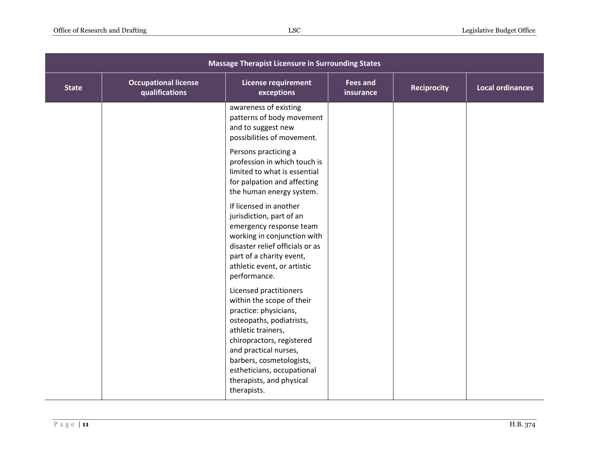| <b>Massage Therapist Licensure in Surrounding States</b> |                                               |                                                                                                                                                                                                                                                                                                                                                                                                                                                                                                                   |                              |                    |                         |
|----------------------------------------------------------|-----------------------------------------------|-------------------------------------------------------------------------------------------------------------------------------------------------------------------------------------------------------------------------------------------------------------------------------------------------------------------------------------------------------------------------------------------------------------------------------------------------------------------------------------------------------------------|------------------------------|--------------------|-------------------------|
| <b>State</b>                                             | <b>Occupational license</b><br>qualifications | <b>License requirement</b><br>exceptions                                                                                                                                                                                                                                                                                                                                                                                                                                                                          | <b>Fees and</b><br>insurance | <b>Reciprocity</b> | <b>Local ordinances</b> |
|                                                          |                                               | awareness of existing<br>patterns of body movement<br>and to suggest new<br>possibilities of movement.<br>Persons practicing a<br>profession in which touch is<br>limited to what is essential<br>for palpation and affecting<br>the human energy system.<br>If licensed in another<br>jurisdiction, part of an<br>emergency response team<br>working in conjunction with<br>disaster relief officials or as<br>part of a charity event,<br>athletic event, or artistic<br>performance.<br>Licensed practitioners |                              |                    |                         |
|                                                          |                                               | within the scope of their<br>practice: physicians,<br>osteopaths, podiatrists,<br>athletic trainers,<br>chiropractors, registered<br>and practical nurses,<br>barbers, cosmetologists,<br>estheticians, occupational<br>therapists, and physical<br>therapists.                                                                                                                                                                                                                                                   |                              |                    |                         |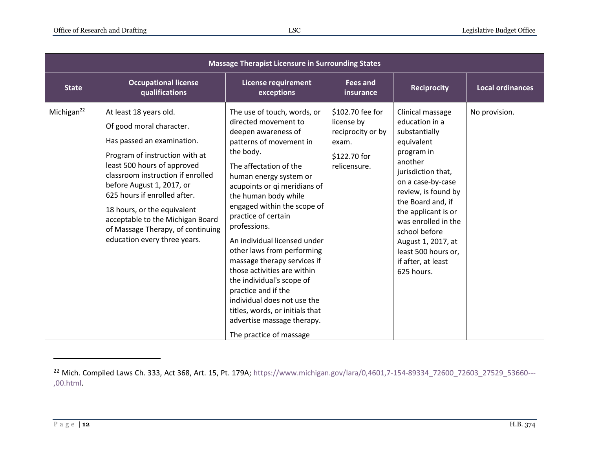| <b>Massage Therapist Licensure in Surrounding States</b> |                                                                                                                                                                                                                                                                                                                                                                                             |                                                                                                                                                                                                                                                                                                                                                                                                                                                                                                                                                                                                                 |                                                                                              |                                                                                                                                                                                                                                                                                                                                   |                         |  |  |
|----------------------------------------------------------|---------------------------------------------------------------------------------------------------------------------------------------------------------------------------------------------------------------------------------------------------------------------------------------------------------------------------------------------------------------------------------------------|-----------------------------------------------------------------------------------------------------------------------------------------------------------------------------------------------------------------------------------------------------------------------------------------------------------------------------------------------------------------------------------------------------------------------------------------------------------------------------------------------------------------------------------------------------------------------------------------------------------------|----------------------------------------------------------------------------------------------|-----------------------------------------------------------------------------------------------------------------------------------------------------------------------------------------------------------------------------------------------------------------------------------------------------------------------------------|-------------------------|--|--|
| <b>State</b>                                             | <b>Occupational license</b><br>qualifications                                                                                                                                                                                                                                                                                                                                               | <b>License requirement</b><br>exceptions                                                                                                                                                                                                                                                                                                                                                                                                                                                                                                                                                                        | <b>Fees and</b><br>insurance                                                                 | <b>Reciprocity</b>                                                                                                                                                                                                                                                                                                                | <b>Local ordinances</b> |  |  |
| Michigan $^{22}$                                         | At least 18 years old.<br>Of good moral character.<br>Has passed an examination.<br>Program of instruction with at<br>least 500 hours of approved<br>classroom instruction if enrolled<br>before August 1, 2017, or<br>625 hours if enrolled after.<br>18 hours, or the equivalent<br>acceptable to the Michigan Board<br>of Massage Therapy, of continuing<br>education every three years. | The use of touch, words, or<br>directed movement to<br>deepen awareness of<br>patterns of movement in<br>the body.<br>The affectation of the<br>human energy system or<br>acupoints or qi meridians of<br>the human body while<br>engaged within the scope of<br>practice of certain<br>professions.<br>An individual licensed under<br>other laws from performing<br>massage therapy services if<br>those activities are within<br>the individual's scope of<br>practice and if the<br>individual does not use the<br>titles, words, or initials that<br>advertise massage therapy.<br>The practice of massage | \$102.70 fee for<br>license by<br>reciprocity or by<br>exam.<br>\$122.70 for<br>relicensure. | Clinical massage<br>education in a<br>substantially<br>equivalent<br>program in<br>another<br>jurisdiction that,<br>on a case-by-case<br>review, is found by<br>the Board and, if<br>the applicant is or<br>was enrolled in the<br>school before<br>August 1, 2017, at<br>least 500 hours or,<br>if after, at least<br>625 hours. | No provision.           |  |  |

<sup>22</sup> Mich. Compiled Laws Ch. 333, Act 368, Art. 15, Pt. 179A[; https://www.michigan.gov/lara/0,4601,7-154-89334\\_72600\\_72603\\_27529\\_53660---](https://www.michigan.gov/lara/0,4601,7-154-89334_72600_72603_27529_53660---,00.html) [,00.html.](https://www.michigan.gov/lara/0,4601,7-154-89334_72600_72603_27529_53660---,00.html)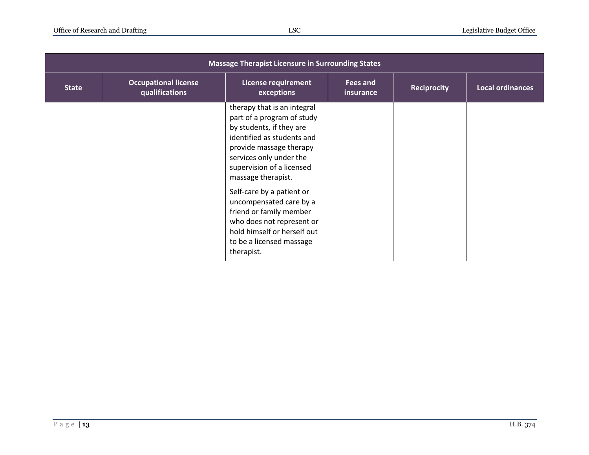| <b>Massage Therapist Licensure in Surrounding States</b> |                                               |                                                                                                                                                                                                                              |                       |                    |                         |
|----------------------------------------------------------|-----------------------------------------------|------------------------------------------------------------------------------------------------------------------------------------------------------------------------------------------------------------------------------|-----------------------|--------------------|-------------------------|
| <b>State</b>                                             | <b>Occupational license</b><br>qualifications | <b>License requirement</b><br>exceptions                                                                                                                                                                                     | Fees and<br>insurance | <b>Reciprocity</b> | <b>Local ordinances</b> |
|                                                          |                                               | therapy that is an integral<br>part of a program of study<br>by students, if they are<br>identified as students and<br>provide massage therapy<br>services only under the<br>supervision of a licensed<br>massage therapist. |                       |                    |                         |
|                                                          |                                               | Self-care by a patient or<br>uncompensated care by a<br>friend or family member<br>who does not represent or<br>hold himself or herself out<br>to be a licensed massage<br>therapist.                                        |                       |                    |                         |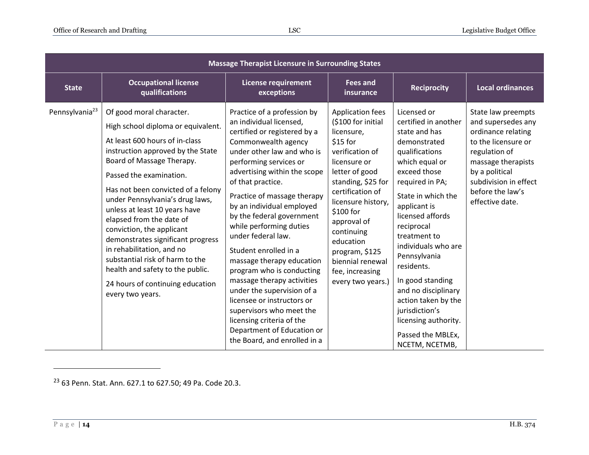| <b>Massage Therapist Licensure in Surrounding States</b> |                                                                                                                                                                                                                                                                                                                                                                                                                                                                                                                                                                   |                                                                                                                                                                                                                                                                                                                                                                                                                                                                                                                                                                                                                                                                          |                                                                                                                                                                                                                                                                                                                                   |                                                                                                                                                                                                                                                                                                                                                                                                                                             |                                                                                                                                                                                                                |  |
|----------------------------------------------------------|-------------------------------------------------------------------------------------------------------------------------------------------------------------------------------------------------------------------------------------------------------------------------------------------------------------------------------------------------------------------------------------------------------------------------------------------------------------------------------------------------------------------------------------------------------------------|--------------------------------------------------------------------------------------------------------------------------------------------------------------------------------------------------------------------------------------------------------------------------------------------------------------------------------------------------------------------------------------------------------------------------------------------------------------------------------------------------------------------------------------------------------------------------------------------------------------------------------------------------------------------------|-----------------------------------------------------------------------------------------------------------------------------------------------------------------------------------------------------------------------------------------------------------------------------------------------------------------------------------|---------------------------------------------------------------------------------------------------------------------------------------------------------------------------------------------------------------------------------------------------------------------------------------------------------------------------------------------------------------------------------------------------------------------------------------------|----------------------------------------------------------------------------------------------------------------------------------------------------------------------------------------------------------------|--|
| <b>State</b>                                             | <b>Occupational license</b><br>qualifications                                                                                                                                                                                                                                                                                                                                                                                                                                                                                                                     | <b>License requirement</b><br>exceptions                                                                                                                                                                                                                                                                                                                                                                                                                                                                                                                                                                                                                                 | <b>Fees and</b><br>insurance                                                                                                                                                                                                                                                                                                      | <b>Reciprocity</b>                                                                                                                                                                                                                                                                                                                                                                                                                          | <b>Local ordinances</b>                                                                                                                                                                                        |  |
| Pennsylvania <sup>23</sup>                               | Of good moral character.<br>High school diploma or equivalent.<br>At least 600 hours of in-class<br>instruction approved by the State<br>Board of Massage Therapy.<br>Passed the examination.<br>Has not been convicted of a felony<br>under Pennsylvania's drug laws,<br>unless at least 10 years have<br>elapsed from the date of<br>conviction, the applicant<br>demonstrates significant progress<br>in rehabilitation, and no<br>substantial risk of harm to the<br>health and safety to the public.<br>24 hours of continuing education<br>every two years. | Practice of a profession by<br>an individual licensed,<br>certified or registered by a<br>Commonwealth agency<br>under other law and who is<br>performing services or<br>advertising within the scope<br>of that practice.<br>Practice of massage therapy<br>by an individual employed<br>by the federal government<br>while performing duties<br>under federal law.<br>Student enrolled in a<br>massage therapy education<br>program who is conducting<br>massage therapy activities<br>under the supervision of a<br>licensee or instructors or<br>supervisors who meet the<br>licensing criteria of the<br>Department of Education or<br>the Board, and enrolled in a | <b>Application fees</b><br>(\$100 for initial<br>licensure,<br>\$15 for<br>verification of<br>licensure or<br>letter of good<br>standing, \$25 for<br>certification of<br>licensure history,<br>\$100 for<br>approval of<br>continuing<br>education<br>program, \$125<br>biennial renewal<br>fee, increasing<br>every two years.) | Licensed or<br>certified in another<br>state and has<br>demonstrated<br>qualifications<br>which equal or<br>exceed those<br>required in PA;<br>State in which the<br>applicant is<br>licensed affords<br>reciprocal<br>treatment to<br>individuals who are<br>Pennsylvania<br>residents.<br>In good standing<br>and no disciplinary<br>action taken by the<br>jurisdiction's<br>licensing authority.<br>Passed the MBLEx,<br>NCETM, NCETMB, | State law preempts<br>and supersedes any<br>ordinance relating<br>to the licensure or<br>regulation of<br>massage therapists<br>by a political<br>subdivision in effect<br>before the law's<br>effective date. |  |

<sup>23</sup> 63 Penn. Stat. Ann. 627.1 to 627.50; 49 Pa. Code 20.3.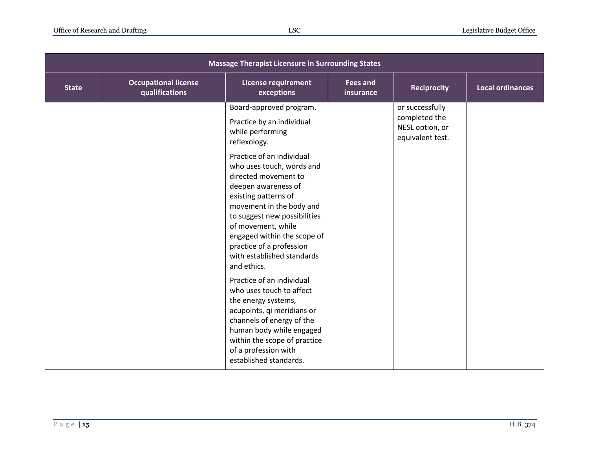| <b>Massage Therapist Licensure in Surrounding States</b> |                                               |                                                                                                                                                                                                                                                                                                                         |                              |                                                                         |                         |  |
|----------------------------------------------------------|-----------------------------------------------|-------------------------------------------------------------------------------------------------------------------------------------------------------------------------------------------------------------------------------------------------------------------------------------------------------------------------|------------------------------|-------------------------------------------------------------------------|-------------------------|--|
| <b>State</b>                                             | <b>Occupational license</b><br>qualifications | <b>License requirement</b><br>exceptions                                                                                                                                                                                                                                                                                | <b>Fees and</b><br>insurance | <b>Reciprocity</b>                                                      | <b>Local ordinances</b> |  |
|                                                          |                                               | Board-approved program.<br>Practice by an individual<br>while performing<br>reflexology.                                                                                                                                                                                                                                |                              | or successfully<br>completed the<br>NESL option, or<br>equivalent test. |                         |  |
|                                                          |                                               | Practice of an individual<br>who uses touch, words and<br>directed movement to<br>deepen awareness of<br>existing patterns of<br>movement in the body and<br>to suggest new possibilities<br>of movement, while<br>engaged within the scope of<br>practice of a profession<br>with established standards<br>and ethics. |                              |                                                                         |                         |  |
|                                                          |                                               | Practice of an individual<br>who uses touch to affect<br>the energy systems,<br>acupoints, qi meridians or<br>channels of energy of the<br>human body while engaged<br>within the scope of practice<br>of a profession with<br>established standards.                                                                   |                              |                                                                         |                         |  |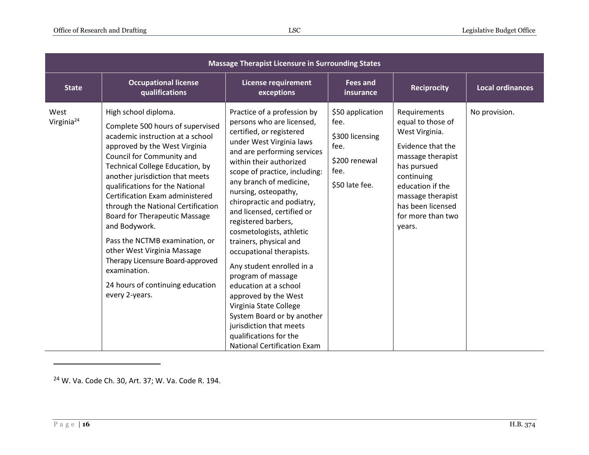| <b>Massage Therapist Licensure in Surrounding States</b> |                                                                                                                                                                                                                                                                                                                                                                                                                                                                                                                                                                                         |                                                                                                                                                                                                                                                                                                                                                                                                                                                                                                                                                                                                                                                                                            |                                                                                                |                                                                                                                                                                                                                         |                         |  |  |
|----------------------------------------------------------|-----------------------------------------------------------------------------------------------------------------------------------------------------------------------------------------------------------------------------------------------------------------------------------------------------------------------------------------------------------------------------------------------------------------------------------------------------------------------------------------------------------------------------------------------------------------------------------------|--------------------------------------------------------------------------------------------------------------------------------------------------------------------------------------------------------------------------------------------------------------------------------------------------------------------------------------------------------------------------------------------------------------------------------------------------------------------------------------------------------------------------------------------------------------------------------------------------------------------------------------------------------------------------------------------|------------------------------------------------------------------------------------------------|-------------------------------------------------------------------------------------------------------------------------------------------------------------------------------------------------------------------------|-------------------------|--|--|
| <b>State</b>                                             | <b>Occupational license</b><br>qualifications                                                                                                                                                                                                                                                                                                                                                                                                                                                                                                                                           | <b>License requirement</b><br>exceptions                                                                                                                                                                                                                                                                                                                                                                                                                                                                                                                                                                                                                                                   | <b>Fees and</b><br>insurance                                                                   | <b>Reciprocity</b>                                                                                                                                                                                                      | <b>Local ordinances</b> |  |  |
| West<br>Virginia <sup>24</sup>                           | High school diploma.<br>Complete 500 hours of supervised<br>academic instruction at a school<br>approved by the West Virginia<br>Council for Community and<br><b>Technical College Education, by</b><br>another jurisdiction that meets<br>qualifications for the National<br>Certification Exam administered<br>through the National Certification<br><b>Board for Therapeutic Massage</b><br>and Bodywork.<br>Pass the NCTMB examination, or<br>other West Virginia Massage<br>Therapy Licensure Board-approved<br>examination.<br>24 hours of continuing education<br>every 2-years. | Practice of a profession by<br>persons who are licensed,<br>certified, or registered<br>under West Virginia laws<br>and are performing services<br>within their authorized<br>scope of practice, including:<br>any branch of medicine,<br>nursing, osteopathy,<br>chiropractic and podiatry,<br>and licensed, certified or<br>registered barbers,<br>cosmetologists, athletic<br>trainers, physical and<br>occupational therapists.<br>Any student enrolled in a<br>program of massage<br>education at a school<br>approved by the West<br>Virginia State College<br>System Board or by another<br>jurisdiction that meets<br>qualifications for the<br><b>National Certification Exam</b> | \$50 application<br>fee.<br>\$300 licensing<br>fee.<br>\$200 renewal<br>fee.<br>\$50 late fee. | Requirements<br>equal to those of<br>West Virginia.<br>Evidence that the<br>massage therapist<br>has pursued<br>continuing<br>education if the<br>massage therapist<br>has been licensed<br>for more than two<br>years. | No provision.           |  |  |

<sup>24</sup> W. Va. Code Ch. 30, Art. 37; W. Va. Code R. 194.